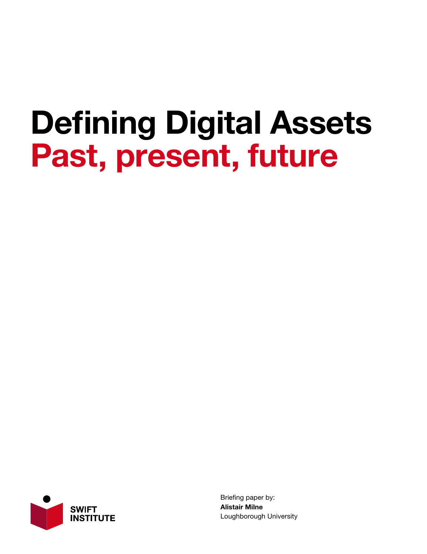## Defining Digital Assets Past, present, future



Briefing paper by: Alistair Milne Loughborough University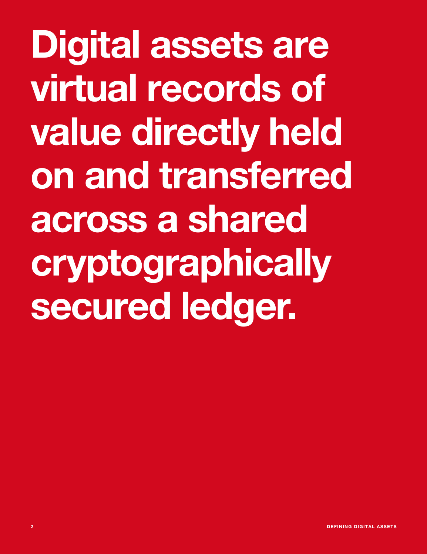Digital assets are virtual records of value directly held on and transferred across a shared cryptographically secured ledger.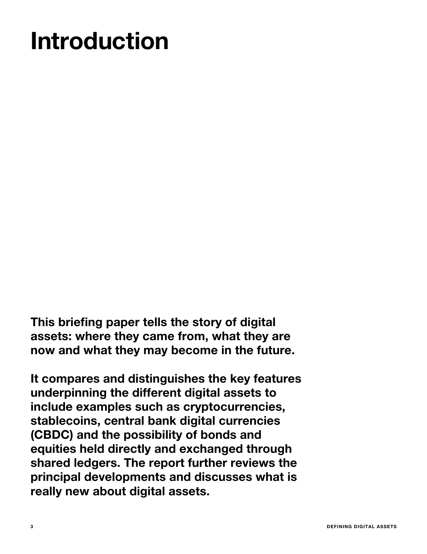## Introduction

This briefing paper tells the story of digital assets: where they came from, what they are now and what they may become in the future.

It compares and distinguishes the key features underpinning the different digital assets to include examples such as cryptocurrencies, stablecoins, central bank digital currencies (CBDC) and the possibility of bonds and equities held directly and exchanged through shared ledgers. The report further reviews the principal developments and discusses what is really new about digital assets.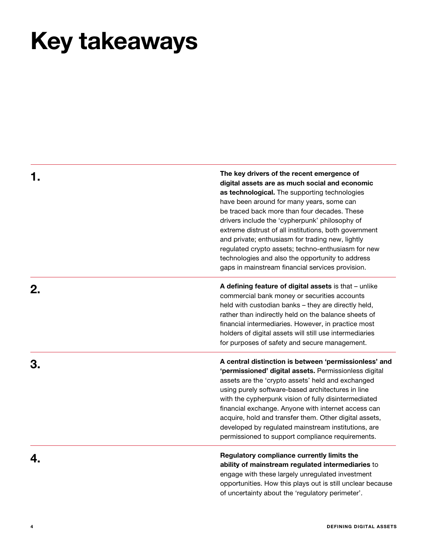## Key takeaways

1. The key drivers of the recent emergence of digital assets are as much social and economic as technological. The supporting technologies have been around for many years, some can be traced back more than four decades. These drivers include the 'cypherpunk' philosophy of extreme distrust of all institutions, both government and private; enthusiasm for trading new, lightly regulated crypto assets; techno-enthusiasm for new technologies and also the opportunity to address gaps in mainstream financial services provision.

**2.** A defining feature of digital assets is that – unlike commercial bank money or securities accounts held with custodian banks – they are directly held, rather than indirectly held on the balance sheets of financial intermediaries. However, in practice most holders of digital assets will still use intermediaries for purposes of safety and secure management.

3. A central distinction is between 'permissionless' and 'permissioned' digital assets. Permissionless digital assets are the 'crypto assets' held and exchanged using purely software-based architectures in line with the cypherpunk vision of fully disintermediated financial exchange. Anyone with internet access can acquire, hold and transfer them. Other digital assets, developed by regulated mainstream institutions, are permissioned to support compliance requirements.

**4 A A EXECUTE 2 Regulatory compliance currently limits the** ability of mainstream regulated intermediaries to engage with these largely unregulated investment opportunities. How this plays out is still unclear because of uncertainty about the 'regulatory perimeter'.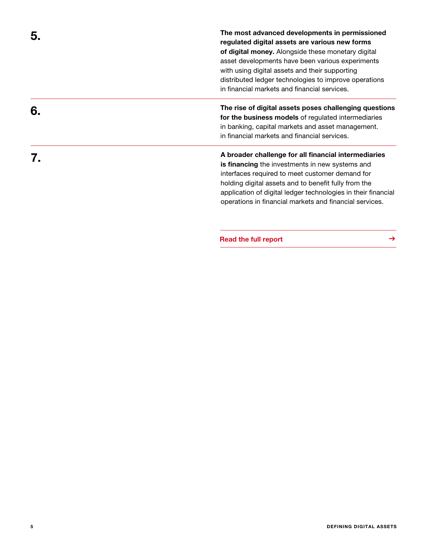5. The most advanced developments in permissioned regulated digital assets are various new forms of digital money. Alongside these monetary digital asset developments have been various experiments with using digital assets and their supporting distributed ledger technologies to improve operations in financial markets and financial services.

**6.** The rise of digital assets poses challenging questions for the business models of regulated intermediaries in banking, capital markets and asset management. in financial markets and financial services.

7. A broader challenge for all financial intermediaries is financing the investments in new systems and interfaces required to meet customer demand for holding digital assets and to benefit fully from the application of digital ledger technologies in their financial operations in financial markets and financial services.

[Read the full report](https://swiftinstitute.org/news/defining-digital-assets/) **→**